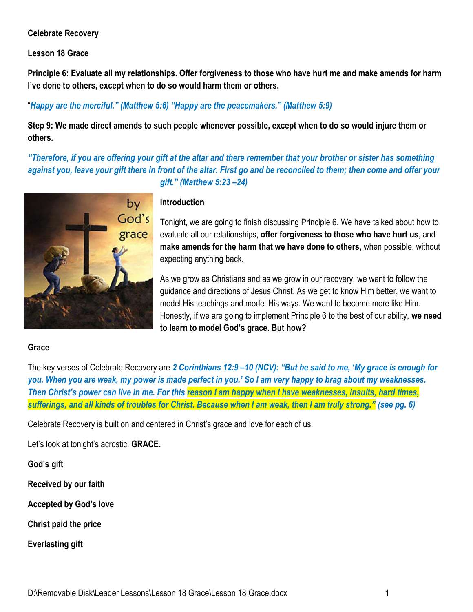### **Celebrate Recovery**

### **Lesson 18 Grace**

**Principle 6: Evaluate all my relationships. Offer forgiveness to those who have hurt me and make amends for harm I've done to others, except when to do so would harm them or others.** 

# "*Happy are the merciful." (Matthew 5:6) "Happy are the peacemakers." (Matthew 5:9)*

**Step 9: We made direct amends to such people whenever possible, except when to do so would injure them or others.** 

# *"Therefore, if you are offering your gift at the altar and there remember that your brother or sister has something against you, leave your gift there in front of the altar. First go and be reconciled to them; then come and offer your gift." (Matthew 5:23 –24)*



# **Introduction**

Tonight, we are going to finish discussing Principle 6. We have talked about how to evaluate all our relationships, **offer forgiveness to those who have hurt us**, and **make amends for the harm that we have done to others**, when possible, without expecting anything back.

As we grow as Christians and as we grow in our recovery, we want to follow the guidance and directions of Jesus Christ. As we get to know Him better, we want to model His teachings and model His ways. We want to become more like Him. Honestly, if we are going to implement Principle 6 to the best of our ability, **we need to learn to model God's grace. But how?** 

### **Grace**

The key verses of Celebrate Recovery are *2 Corinthians 12:9 –10 (NCV): "But he said to me, 'My grace is enough for you. When you are weak, my power is made perfect in you.' So I am very happy to brag about my weaknesses. Then Christ's power can live in me. For this reason I am happy when I have weaknesses, insults, hard times, sufferings, and all kinds of troubles for Christ. Because when I am weak, then I am truly strong." (see pg. 6)*

Celebrate Recovery is built on and centered in Christ's grace and love for each of us.

Let's look at tonight's acrostic: **GRACE.** 

**God's gift** 

**Received by our faith** 

**Accepted by God's love** 

**Christ paid the price** 

**Everlasting gift**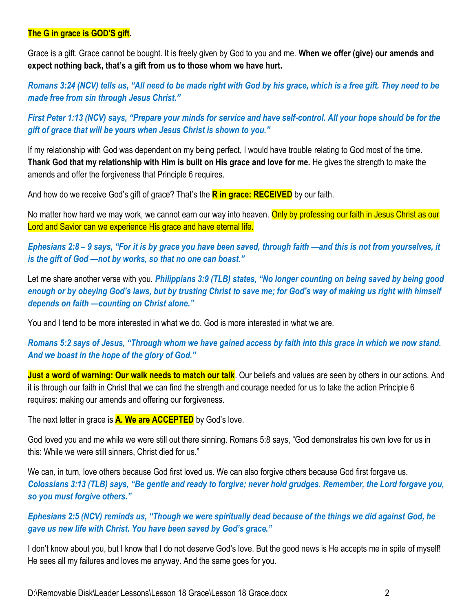### **The G in grace is GOD'S gift.**

Grace is a gift. Grace cannot be bought. It is freely given by God to you and me. **When we offer (give) our amends and expect nothing back, that's a gift from us to those whom we have hurt.** 

*Romans 3:24 (NCV) tells us, "All need to be made right with God by his grace, which is a free gift. They need to be made free from sin through Jesus Christ."* 

*First Peter 1:13 (NCV) says, "Prepare your minds for service and have self-control. All your hope should be for the gift of grace that will be yours when Jesus Christ is shown to you."* 

If my relationship with God was dependent on my being perfect, I would have trouble relating to God most of the time. **Thank God that my relationship with Him is built on His grace and love for me.** He gives the strength to make the amends and offer the forgiveness that Principle 6 requires.

And how do we receive God's gift of grace? That's the **R in grace: RECEIVED** by our faith.

No matter how hard we may work, we cannot earn our way into heaven. Only by professing our faith in Jesus Christ as our Lord and Savior can we experience His grace and have eternal life.

*Ephesians 2:8 – 9 says, "For it is by grace you have been saved, through faith —and this is not from yourselves, it is the gift of God —not by works, so that no one can boast."* 

Let me share another verse with you. *Philippians 3:9 (TLB) states, "No longer counting on being saved by being good enough or by obeying God's laws, but by trusting Christ to save me; for God's way of making us right with himself depends on faith —counting on Christ alone."* 

You and I tend to be more interested in what we do. God is more interested in what we are.

*Romans 5:2 says of Jesus, "Through whom we have gained access by faith into this grace in which we now stand. And we boast in the hope of the glory of God."* 

**Just a word of warning: Our walk needs to match our talk**. Our beliefs and values are seen by others in our actions. And it is through our faith in Christ that we can find the strength and courage needed for us to take the action Principle 6 requires: making our amends and offering our forgiveness.

The next letter in grace is **A. We are ACCEPTED** by God's love.

God loved you and me while we were still out there sinning. Romans 5:8 says, "God demonstrates his own love for us in this: While we were still sinners, Christ died for us."

We can, in turn, love others because God first loved us. We can also forgive others because God first forgave us. *Colossians 3:13 (TLB) says, "Be gentle and ready to forgive; never hold grudges. Remember, the Lord forgave you, so you must forgive others."* 

*Ephesians 2:5 (NCV) reminds us, "Though we were spiritually dead because of the things we did against God, he gave us new life with Christ. You have been saved by God's grace."* 

I don't know about you, but I know that I do not deserve God's love. But the good news is He accepts me in spite of myself! He sees all my failures and loves me anyway. And the same goes for you.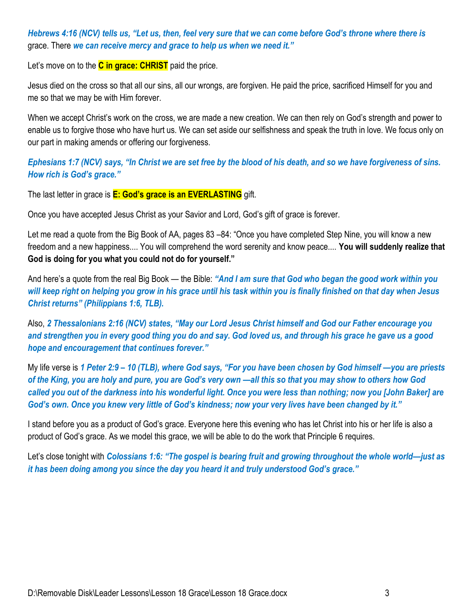# *Hebrews 4:16 (NCV) tells us, "Let us, then, feel very sure that we can come before God's throne where there is*  grace. There *we can receive mercy and grace to help us when we need it."*

Let's move on to the **C in grace: CHRIST** paid the price.

Jesus died on the cross so that all our sins, all our wrongs, are forgiven. He paid the price, sacrificed Himself for you and me so that we may be with Him forever.

When we accept Christ's work on the cross, we are made a new creation. We can then rely on God's strength and power to enable us to forgive those who have hurt us. We can set aside our selfishness and speak the truth in love. We focus only on our part in making amends or offering our forgiveness.

*Ephesians 1:7 (NCV) says, "In Christ we are set free by the blood of his death, and so we have forgiveness of sins. How rich is God's grace."* 

The last letter in grace is **E: God's grace is an EVERLASTING** gift.

Once you have accepted Jesus Christ as your Savior and Lord, God's gift of grace is forever.

Let me read a quote from the Big Book of AA, pages 83 –84: "Once you have completed Step Nine, you will know a new freedom and a new happiness.... You will comprehend the word serenity and know peace.... **You will suddenly realize that God is doing for you what you could not do for yourself."** 

And here's a quote from the real Big Book — the Bible: *"And I am sure that God who began the good work within you will keep right on helping you grow in his grace until his task within you is finally finished on that day when Jesus Christ returns" (Philippians 1:6, TLB).* 

Also, *2 Thessalonians 2:16 (NCV) states, "May our Lord Jesus Christ himself and God our Father encourage you and strengthen you in every good thing you do and say. God loved us, and through his grace he gave us a good hope and encouragement that continues forever."* 

My life verse is *1 Peter 2:9 – 10 (TLB), where God says, "For you have been chosen by God himself —you are priests of the King, you are holy and pure, you are God's very own —all this so that you may show to others how God called you out of the darkness into his wonderful light. Once you were less than nothing; now you [John Baker] are God's own. Once you knew very little of God's kindness; now your very lives have been changed by it."* 

I stand before you as a product of God's grace. Everyone here this evening who has let Christ into his or her life is also a product of God's grace. As we model this grace, we will be able to do the work that Principle 6 requires.

Let's close tonight with *Colossians 1:6: "The gospel is bearing fruit and growing throughout the whole world—just as it has been doing among you since the day you heard it and truly understood God's grace."*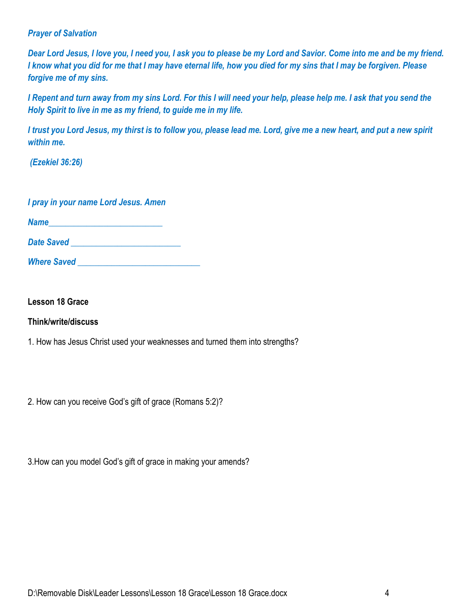### *Prayer of Salvation*

*Dear Lord Jesus, I love you, I need you, I ask you to please be my Lord and Savior. Come into me and be my friend. I know what you did for me that I may have eternal life, how you died for my sins that I may be forgiven. Please forgive me of my sins.*

*I Repent and turn away from my sins Lord. For this I will need your help, please help me. I ask that you send the Holy Spirit to live in me as my friend, to guide me in my life.*

*I trust you Lord Jesus, my thirst is to follow you, please lead me. Lord, give me a new heart, and put a new spirit within me.*

*(Ezekiel 36:26)*

|  |  |  | I pray in your name Lord Jesus. Amen |  |
|--|--|--|--------------------------------------|--|
|  |  |  |                                      |  |

*Name\_\_\_\_\_\_\_\_\_\_\_\_\_\_\_\_\_\_\_\_\_\_\_\_\_\_\_*

**Date Saved Date Saved** 

*Where Saved \_\_\_\_\_\_\_\_\_\_\_\_\_\_\_\_\_\_\_\_\_\_\_\_\_\_\_\_\_*

**Lesson 18 Grace**

**Think/write/discuss**

1. How has Jesus Christ used your weaknesses and turned them into strengths?

2. How can you receive God's gift of grace (Romans 5:2)?

3.How can you model God's gift of grace in making your amends?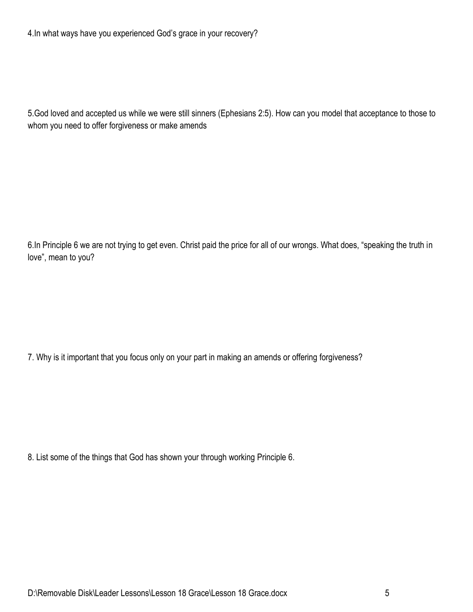4.In what ways have you experienced God's grace in your recovery?

5.God loved and accepted us while we were still sinners (Ephesians 2:5). How can you model that acceptance to those to whom you need to offer forgiveness or make amends

6.In Principle 6 we are not trying to get even. Christ paid the price for all of our wrongs. What does, "speaking the truth in love", mean to you?

7. Why is it important that you focus only on your part in making an amends or offering forgiveness?

8. List some of the things that God has shown your through working Principle 6.